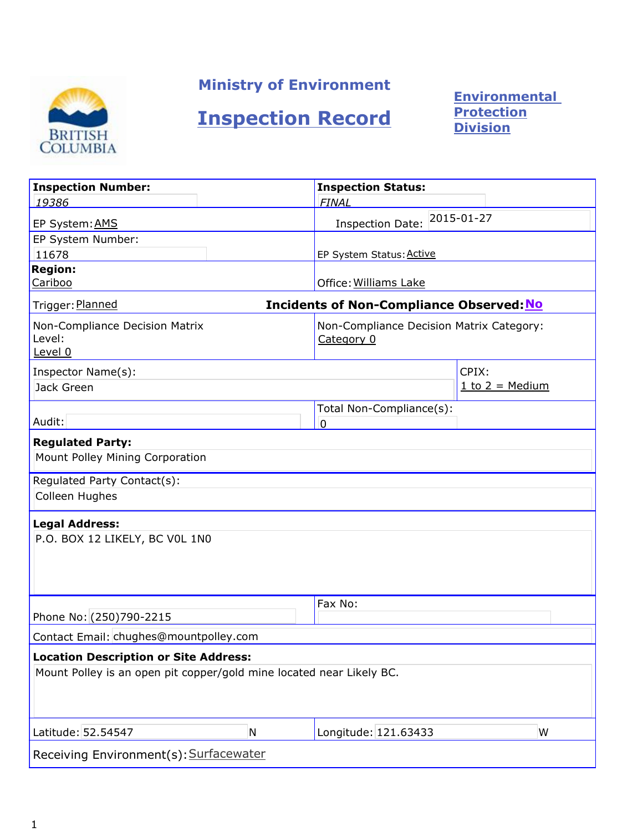

# Ministry of Environment

# Inspection Record

**Environmental** Protection Division

| <b>Inspection Number:</b>                                                                                            |   | <b>Inspection Status:</b>                              |                     |
|----------------------------------------------------------------------------------------------------------------------|---|--------------------------------------------------------|---------------------|
| 19386                                                                                                                |   | <b>FINAL</b>                                           |                     |
| EP System: AMS                                                                                                       |   | 2015-01-27<br><b>Inspection Date:</b>                  |                     |
| EP System Number:                                                                                                    |   |                                                        |                     |
| 11678                                                                                                                |   | EP System Status: Active                               |                     |
| <b>Region:</b><br>Cariboo                                                                                            |   | Office: Williams Lake                                  |                     |
| Trigger: Planned                                                                                                     |   | <b>Incidents of Non-Compliance Observed: No</b>        |                     |
| Non-Compliance Decision Matrix<br>Level:<br>Level 0                                                                  |   | Non-Compliance Decision Matrix Category:<br>Category 0 |                     |
| Inspector Name(s):                                                                                                   |   |                                                        | CPIX:               |
| Jack Green                                                                                                           |   |                                                        | $1$ to $2$ = Medium |
| Audit:                                                                                                               |   | Total Non-Compliance(s):<br>0                          |                     |
| <b>Regulated Party:</b>                                                                                              |   |                                                        |                     |
| Mount Polley Mining Corporation                                                                                      |   |                                                        |                     |
| Regulated Party Contact(s):                                                                                          |   |                                                        |                     |
| Colleen Hughes                                                                                                       |   |                                                        |                     |
| <b>Legal Address:</b>                                                                                                |   |                                                        |                     |
| P.O. BOX 12 LIKELY, BC VOL 1N0                                                                                       |   |                                                        |                     |
|                                                                                                                      |   |                                                        |                     |
|                                                                                                                      |   | Fax No:                                                |                     |
| Phone No: (250)790-2215                                                                                              |   |                                                        |                     |
| Contact Email: chughes@mountpolley.com                                                                               |   |                                                        |                     |
| <b>Location Description or Site Address:</b><br>Mount Polley is an open pit copper/gold mine located near Likely BC. |   |                                                        |                     |
| Latitude: 52.54547                                                                                                   | N | Longitude: 121.63433                                   | W                   |
| Receiving Environment(s): Surfacewater                                                                               |   |                                                        |                     |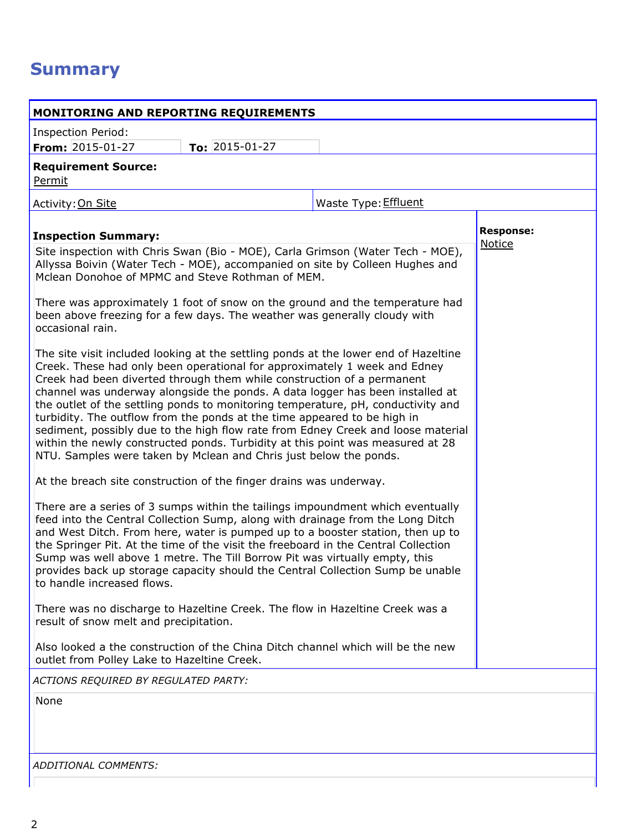# **Summary**

| <b>MONITORING AND REPORTING REQUIREMENTS</b>                                                                                                                                                                                                                                                                                                                                                                                                                                                                                                                                                                                                                                          |                                                                                                                                                                                                                                                                                                                                                                                                                                                                                                                                                                                                                                                                                                                                                                                                                                                                                                                                                                                                                                                                                                                                                                                                          |
|---------------------------------------------------------------------------------------------------------------------------------------------------------------------------------------------------------------------------------------------------------------------------------------------------------------------------------------------------------------------------------------------------------------------------------------------------------------------------------------------------------------------------------------------------------------------------------------------------------------------------------------------------------------------------------------|----------------------------------------------------------------------------------------------------------------------------------------------------------------------------------------------------------------------------------------------------------------------------------------------------------------------------------------------------------------------------------------------------------------------------------------------------------------------------------------------------------------------------------------------------------------------------------------------------------------------------------------------------------------------------------------------------------------------------------------------------------------------------------------------------------------------------------------------------------------------------------------------------------------------------------------------------------------------------------------------------------------------------------------------------------------------------------------------------------------------------------------------------------------------------------------------------------|
| <b>Inspection Period:</b><br>To: $2015 - 01 - 27$<br><b>From:</b> $2015 - 01 - 27$                                                                                                                                                                                                                                                                                                                                                                                                                                                                                                                                                                                                    |                                                                                                                                                                                                                                                                                                                                                                                                                                                                                                                                                                                                                                                                                                                                                                                                                                                                                                                                                                                                                                                                                                                                                                                                          |
| <b>Requirement Source:</b><br>Permit                                                                                                                                                                                                                                                                                                                                                                                                                                                                                                                                                                                                                                                  |                                                                                                                                                                                                                                                                                                                                                                                                                                                                                                                                                                                                                                                                                                                                                                                                                                                                                                                                                                                                                                                                                                                                                                                                          |
| Activity: On Site                                                                                                                                                                                                                                                                                                                                                                                                                                                                                                                                                                                                                                                                     | Waste Type: Effluent                                                                                                                                                                                                                                                                                                                                                                                                                                                                                                                                                                                                                                                                                                                                                                                                                                                                                                                                                                                                                                                                                                                                                                                     |
| <b>Inspection Summary:</b>                                                                                                                                                                                                                                                                                                                                                                                                                                                                                                                                                                                                                                                            | <b>Response:</b>                                                                                                                                                                                                                                                                                                                                                                                                                                                                                                                                                                                                                                                                                                                                                                                                                                                                                                                                                                                                                                                                                                                                                                                         |
| Mclean Donohoe of MPMC and Steve Rothman of MEM.<br>been above freezing for a few days. The weather was generally cloudy with<br>occasional rain.<br>Creek. These had only been operational for approximately 1 week and Edney<br>Creek had been diverted through them while construction of a permanent<br>turbidity. The outflow from the ponds at the time appeared to be high in<br>NTU. Samples were taken by Mclean and Chris just below the ponds.<br>At the breach site construction of the finger drains was underway.<br>Sump was well above 1 metre. The Till Borrow Pit was virtually empty, this<br>to handle increased flows.<br>result of snow melt and precipitation. | Notice<br>Site inspection with Chris Swan (Bio - MOE), Carla Grimson (Water Tech - MOE),<br>Allyssa Boivin (Water Tech - MOE), accompanied on site by Colleen Hughes and<br>There was approximately 1 foot of snow on the ground and the temperature had<br>The site visit included looking at the settling ponds at the lower end of Hazeltine<br>channel was underway alongside the ponds. A data logger has been installed at<br>the outlet of the settling ponds to monitoring temperature, pH, conductivity and<br>sediment, possibly due to the high flow rate from Edney Creek and loose material<br>within the newly constructed ponds. Turbidity at this point was measured at 28<br>There are a series of 3 sumps within the tailings impoundment which eventually<br>feed into the Central Collection Sump, along with drainage from the Long Ditch<br>and West Ditch. From here, water is pumped up to a booster station, then up to<br>the Springer Pit. At the time of the visit the freeboard in the Central Collection<br>provides back up storage capacity should the Central Collection Sump be unable<br>There was no discharge to Hazeltine Creek. The flow in Hazeltine Creek was a |
| outlet from Polley Lake to Hazeltine Creek.                                                                                                                                                                                                                                                                                                                                                                                                                                                                                                                                                                                                                                           | Also looked a the construction of the China Ditch channel which will be the new                                                                                                                                                                                                                                                                                                                                                                                                                                                                                                                                                                                                                                                                                                                                                                                                                                                                                                                                                                                                                                                                                                                          |
| ACTIONS REQUIRED BY REGULATED PARTY:                                                                                                                                                                                                                                                                                                                                                                                                                                                                                                                                                                                                                                                  |                                                                                                                                                                                                                                                                                                                                                                                                                                                                                                                                                                                                                                                                                                                                                                                                                                                                                                                                                                                                                                                                                                                                                                                                          |
| None                                                                                                                                                                                                                                                                                                                                                                                                                                                                                                                                                                                                                                                                                  |                                                                                                                                                                                                                                                                                                                                                                                                                                                                                                                                                                                                                                                                                                                                                                                                                                                                                                                                                                                                                                                                                                                                                                                                          |
|                                                                                                                                                                                                                                                                                                                                                                                                                                                                                                                                                                                                                                                                                       |                                                                                                                                                                                                                                                                                                                                                                                                                                                                                                                                                                                                                                                                                                                                                                                                                                                                                                                                                                                                                                                                                                                                                                                                          |
|                                                                                                                                                                                                                                                                                                                                                                                                                                                                                                                                                                                                                                                                                       |                                                                                                                                                                                                                                                                                                                                                                                                                                                                                                                                                                                                                                                                                                                                                                                                                                                                                                                                                                                                                                                                                                                                                                                                          |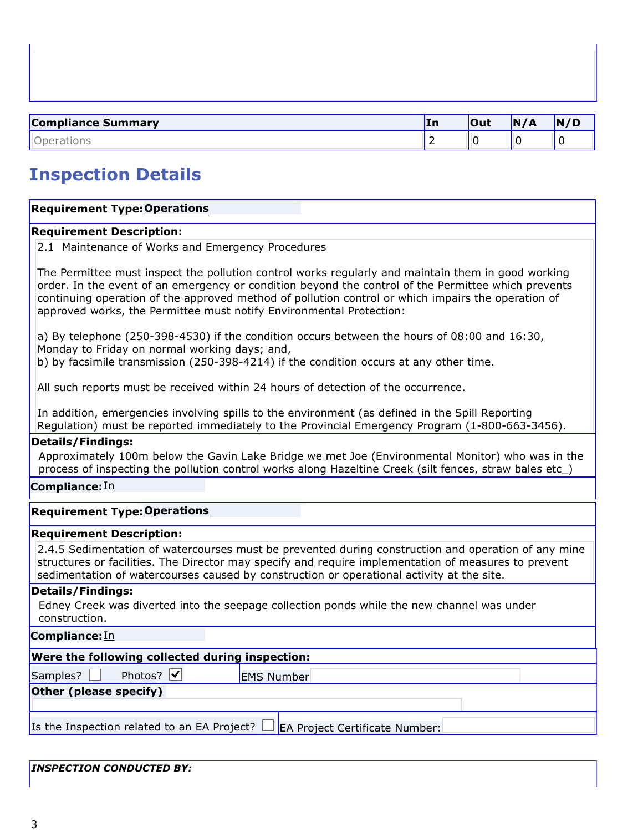| <b>Compliance Summary</b> | In | <b>Out</b> | N/A | N/D |
|---------------------------|----|------------|-----|-----|
|                           | -  |            | . . |     |

# Inspection Details

## **Requirement Type: Operations**

## Requirement Description:

2.1 Maintenance of Works and Emergency Procedures

The Permittee must inspect the pollution control works regularly and maintain them in good working order. In the event of an emergency or condition beyond the control of the Permittee which prevents continuing operation of the approved method of pollution control or which impairs the operation of approved works, the Permittee must notify Environmental Protection:

a) By telephone (250-398-4530) if the condition occurs between the hours of 08:00 and 16:30, Monday to Friday on normal working days; and, b) by facsimile transmission (250-398-4214) if the condition occurs at any other time.

All such reports must be received within 24 hours of detection of the occurrence.

In addition, emergencies involving spills to the environment (as defined in the Spill Reporting Regulation) must be reported immediately to the Provincial Emergency Program (1-800-663-3456).

#### Details/Findings:

Approximately 100m below the Gavin Lake Bridge we met Joe (Environmental Monitor) who was in the process of inspecting the pollution control works along Hazeltine Creek (silt fences, straw bales etc\_)

## Compliance: In

## **Requirement Type: Operations**

#### Requirement Description:

2.4.5 Sedimentation of watercourses must be prevented during construction and operation of any mine structures or facilities. The Director may specify and require implementation of measures to prevent sedimentation of watercourses caused by construction or operational activity at the site.

#### Details/Findings:

Edney Creek was diverted into the seepage collection ponds while the new channel was under construction.

Compliance: In

| Were the following collected during inspection:                                   |  |  |  |  |
|-----------------------------------------------------------------------------------|--|--|--|--|
| <b>EMS Number</b>                                                                 |  |  |  |  |
| Other (please specify)                                                            |  |  |  |  |
|                                                                                   |  |  |  |  |
| Is the Inspection related to an EA Project? $\Box$ EA Project Certificate Number: |  |  |  |  |
|                                                                                   |  |  |  |  |